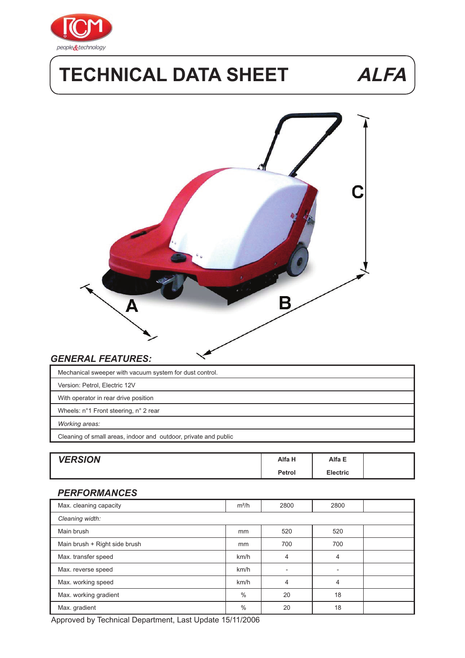

# **TECHNICAL DATA SHEET ALFA**





#### *GENERAL FEATURES:*

| Mechanical sweeper with vacuum system for dust control.         |
|-----------------------------------------------------------------|
| Version: Petrol, Electric 12V                                   |
| With operator in rear drive position                            |
| Wheels: n°1 Front steering, n° 2 rear                           |
| Working areas:                                                  |
| Cleaning of small areas, indoor and outdoor, private and public |

| <b>VERSION</b> | Alfa H | Alfa E   |  |
|----------------|--------|----------|--|
|                | Petrol | Electric |  |

#### *PERFORMANCES*

| Max. cleaning capacity        | $m^2/h$ | 2800           | 2800                     |  |  |  |
|-------------------------------|---------|----------------|--------------------------|--|--|--|
| Cleaning width:               |         |                |                          |  |  |  |
| Main brush                    | mm      | 520            | 520                      |  |  |  |
| Main brush + Right side brush | mm      | 700            | 700                      |  |  |  |
| Max. transfer speed           | km/h    | $\overline{4}$ | 4                        |  |  |  |
| Max. reverse speed            | km/h    | $\blacksquare$ | $\overline{\phantom{0}}$ |  |  |  |
| Max. working speed            | km/h    | 4              | 4                        |  |  |  |
| Max. working gradient         | $\%$    | 20             | 18                       |  |  |  |
| Max. gradient                 | %       | 20             | 18                       |  |  |  |

Approved by Technical Department, Last Update 15/11/2006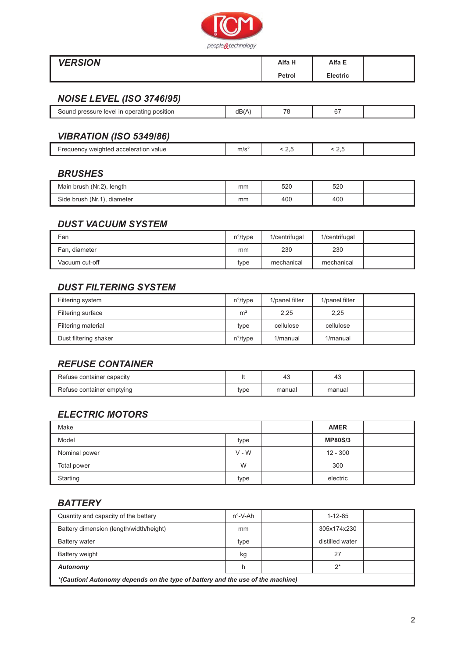

| <b>VERSION</b> | Alfa H | Alfa E          |  |
|----------------|--------|-----------------|--|
|                | Petrol | <b>Electric</b> |  |

# *NOISE LEVEL (ISO 3746/95)*

| SILIUI<br>.<br>$\cdot$ | $\overline{\phantom{a}}$ | - -<br>$\sim$ . |  |
|------------------------|--------------------------|-----------------|--|
|                        |                          |                 |  |

# *VIBRATION (ISO 5349/86)*

| value<br>eleration:<br>ac.<br>: weignte.<br>.<br>__ | ''''~ |  |  |  |
|-----------------------------------------------------|-------|--|--|--|
|-----------------------------------------------------|-------|--|--|--|

### *BRUSHES*

| Main brush (Nr.2), length   | mm | 520 | 520 |  |
|-----------------------------|----|-----|-----|--|
| Side brush (Nr.1), diameter | mm | 400 | 400 |  |

#### *DUST VACUUM SYSTEM*

| Fan            | $n^{\circ}/type$ | 1/centrifugal | 1/centrifugal |  |
|----------------|------------------|---------------|---------------|--|
| Fan, diameter  | mm               | 230           | 230           |  |
| Vacuum cut-off | type             | mechanical    | mechanical    |  |

# *DUST FILTERING SYSTEM*

| Filtering system      | $n^{\circ}/$ type | 1/panel filter | 1/panel filter |  |
|-----------------------|-------------------|----------------|----------------|--|
| Filtering surface     | m <sup>2</sup>    | 2.25           | 2.25           |  |
| Filtering material    | type              | cellulose      | cellulose      |  |
| Dust filtering shaker | $n^{\circ}$ /type | 1/manual       | 1/manual       |  |

## *REFUSE CONTAINER*

| Refuse container capacity |      | 43     | 4J     |  |
|---------------------------|------|--------|--------|--|
| Refuse container emptying | type | manual | manual |  |

## *ELECTRIC MOTORS*

| Make          |         | <b>AMER</b>    |  |
|---------------|---------|----------------|--|
| Model         | type    | <b>MP80S/3</b> |  |
| Nominal power | $V - W$ | $12 - 300$     |  |
| Total power   | W       | 300            |  |
| Starting      | type    | electric       |  |

#### *BATTERY*

| Quantity and capacity of the battery                                           | $n^{\circ}$ -V-Ah |  | $1 - 12 - 85$   |  |
|--------------------------------------------------------------------------------|-------------------|--|-----------------|--|
| Battery dimension (length/width/height)                                        | mm                |  | 305x174x230     |  |
| <b>Battery water</b>                                                           | type              |  | distilled water |  |
| Battery weight                                                                 | kg                |  | 27              |  |
| Autonomy                                                                       | h                 |  | ን*              |  |
| *(Caution! Autonomy depends on the type of battery and the use of the machine) |                   |  |                 |  |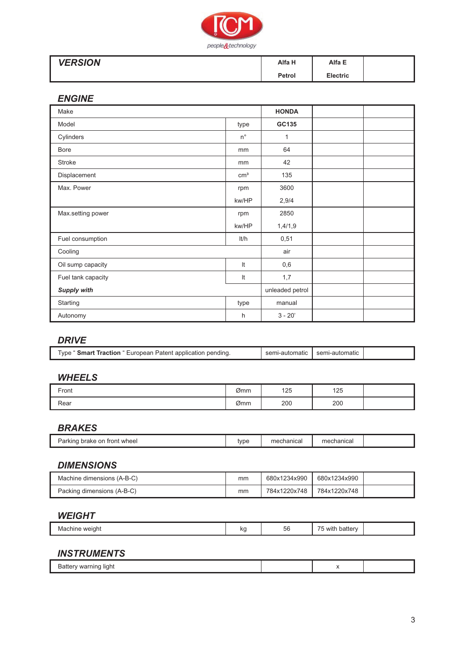

| <b>VERSION</b> | Alfa H | Alfa E          |  |
|----------------|--------|-----------------|--|
|                | Petrol | <b>Electric</b> |  |

#### *ENGINE*

| Make               |                 | <b>HONDA</b>    |  |
|--------------------|-----------------|-----------------|--|
| Model              | type            | GC135           |  |
| Cylinders          | $n^{\circ}$     | 1               |  |
| Bore               | mm              | 64              |  |
| <b>Stroke</b>      | mm              | 42              |  |
| Displacement       | cm <sup>3</sup> | 135             |  |
| Max. Power         | rpm             | 3600            |  |
|                    | kw/HP           | 2,9/4           |  |
| Max.setting power  | rpm             | 2850            |  |
|                    | kw/HP           | 1,4/1,9         |  |
| Fuel consumption   | lt/h            | 0,51            |  |
| Cooling            |                 | air             |  |
| Oil sump capacity  | It              | 0,6             |  |
| Fuel tank capacity | It              | 1,7             |  |
| <b>Supply with</b> |                 | unleaded petrol |  |
| Starting           | type            | manual          |  |
| Autonomy           | h               | $3 - 20'$       |  |

# *DRIVE*

|  | Type " <b>Smart Traction</b> " European Patent application pending. | semi-automatic | semi-automatic |  |
|--|---------------------------------------------------------------------|----------------|----------------|--|
|--|---------------------------------------------------------------------|----------------|----------------|--|

## *WHEELS*

| -<br>Front | Ømm | 125 | 125 |  |
|------------|-----|-----|-----|--|
| Rear       | Ømm | 200 | 200 |  |

## *BRAKES*

|  | Parking.<br>brake on front wheel | type | echanical<br>me. | echanica.<br>neı |  |
|--|----------------------------------|------|------------------|------------------|--|
|--|----------------------------------|------|------------------|------------------|--|

# *DIMENSIONS*

| Machine dimensions (A-B-C) | mm | 680x1234x990 | 680x1234x990 |  |
|----------------------------|----|--------------|--------------|--|
| Packing dimensions (A-B-C) | mm | 784x1220x748 | 784x1220x748 |  |

#### *WEIGHT*

|  | MAP<br>M:<br>nıne<br>. .<br>$\sim$ | n. | <b>STATE OF BUILDING</b><br>၁၀ | witl<br>. |  |
|--|------------------------------------|----|--------------------------------|-----------|--|
|--|------------------------------------|----|--------------------------------|-----------|--|

## *INSTRUMENTS*

| lια<br><br>. .<br>$-$<br>$\sim$ | $\cdots$ |  |
|---------------------------------|----------|--|
|                                 |          |  |